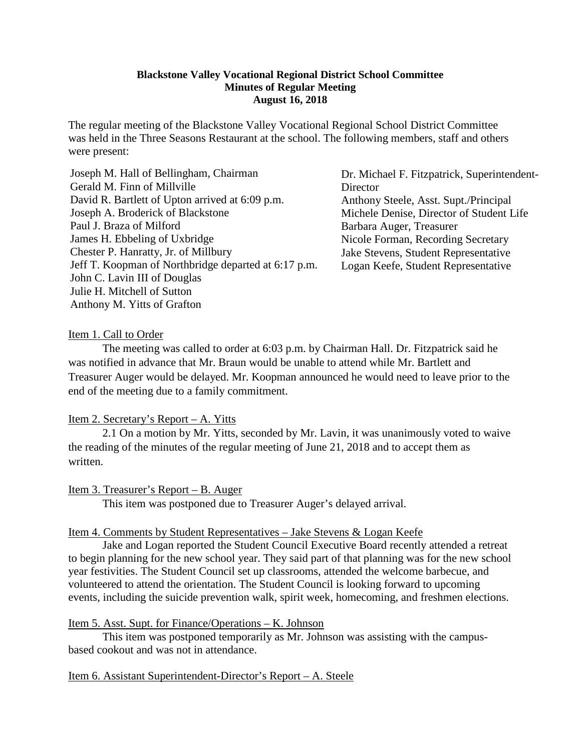### **Blackstone Valley Vocational Regional District School Committee Minutes of Regular Meeting August 16, 2018**

The regular meeting of the Blackstone Valley Vocational Regional School District Committee was held in the Three Seasons Restaurant at the school. The following members, staff and others were present:

Dr. Michael F. Fitzpatrick, Superintendent-**Director** Anthony Steele, Asst. Supt./Principal Michele Denise, Director of Student Life Barbara Auger, Treasurer Nicole Forman, Recording Secretary Jake Stevens, Student Representative Logan Keefe, Student Representative

### Item 1. Call to Order

The meeting was called to order at 6:03 p.m. by Chairman Hall. Dr. Fitzpatrick said he was notified in advance that Mr. Braun would be unable to attend while Mr. Bartlett and Treasurer Auger would be delayed. Mr. Koopman announced he would need to leave prior to the end of the meeting due to a family commitment.

# Item 2. Secretary's Report – A. Yitts

2.1 On a motion by Mr. Yitts, seconded by Mr. Lavin, it was unanimously voted to waive the reading of the minutes of the regular meeting of June 21, 2018 and to accept them as written.

Item 3. Treasurer's Report – B. Auger

This item was postponed due to Treasurer Auger's delayed arrival.

### Item 4. Comments by Student Representatives – Jake Stevens & Logan Keefe

Jake and Logan reported the Student Council Executive Board recently attended a retreat to begin planning for the new school year. They said part of that planning was for the new school year festivities. The Student Council set up classrooms, attended the welcome barbecue, and volunteered to attend the orientation. The Student Council is looking forward to upcoming events, including the suicide prevention walk, spirit week, homecoming, and freshmen elections.

### Item 5. Asst. Supt. for Finance/Operations – K. Johnson

This item was postponed temporarily as Mr. Johnson was assisting with the campusbased cookout and was not in attendance.

### Item 6. Assistant Superintendent-Director's Report – A. Steele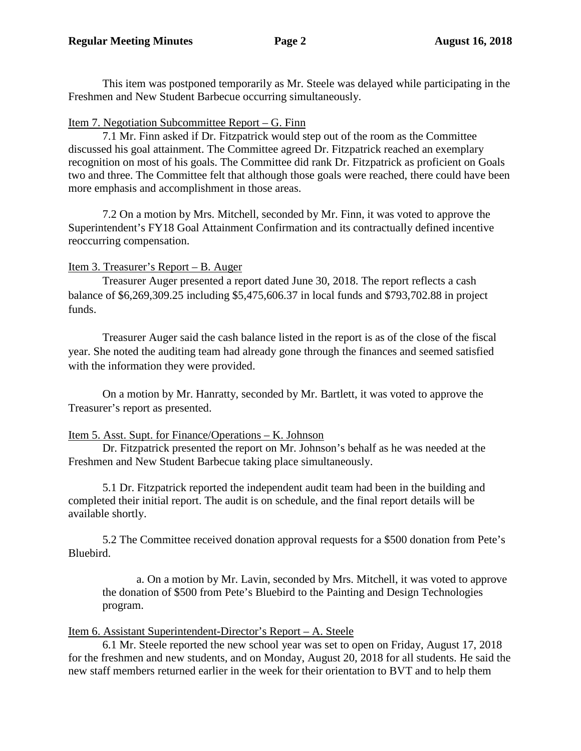This item was postponed temporarily as Mr. Steele was delayed while participating in the Freshmen and New Student Barbecue occurring simultaneously.

# Item 7. Negotiation Subcommittee Report – G. Finn

7.1 Mr. Finn asked if Dr. Fitzpatrick would step out of the room as the Committee discussed his goal attainment. The Committee agreed Dr. Fitzpatrick reached an exemplary recognition on most of his goals. The Committee did rank Dr. Fitzpatrick as proficient on Goals two and three. The Committee felt that although those goals were reached, there could have been more emphasis and accomplishment in those areas.

7.2 On a motion by Mrs. Mitchell, seconded by Mr. Finn, it was voted to approve the Superintendent's FY18 Goal Attainment Confirmation and its contractually defined incentive reoccurring compensation.

# Item 3. Treasurer's Report – B. Auger

Treasurer Auger presented a report dated June 30, 2018. The report reflects a cash balance of \$6,269,309.25 including \$5,475,606.37 in local funds and \$793,702.88 in project funds.

Treasurer Auger said the cash balance listed in the report is as of the close of the fiscal year. She noted the auditing team had already gone through the finances and seemed satisfied with the information they were provided.

On a motion by Mr. Hanratty, seconded by Mr. Bartlett, it was voted to approve the Treasurer's report as presented.

# Item 5. Asst. Supt. for Finance/Operations – K. Johnson

Dr. Fitzpatrick presented the report on Mr. Johnson's behalf as he was needed at the Freshmen and New Student Barbecue taking place simultaneously.

5.1 Dr. Fitzpatrick reported the independent audit team had been in the building and completed their initial report. The audit is on schedule, and the final report details will be available shortly.

5.2 The Committee received donation approval requests for a \$500 donation from Pete's Bluebird.

a. On a motion by Mr. Lavin, seconded by Mrs. Mitchell, it was voted to approve the donation of \$500 from Pete's Bluebird to the Painting and Design Technologies program.

# Item 6. Assistant Superintendent-Director's Report – A. Steele

6.1 Mr. Steele reported the new school year was set to open on Friday, August 17, 2018 for the freshmen and new students, and on Monday, August 20, 2018 for all students. He said the new staff members returned earlier in the week for their orientation to BVT and to help them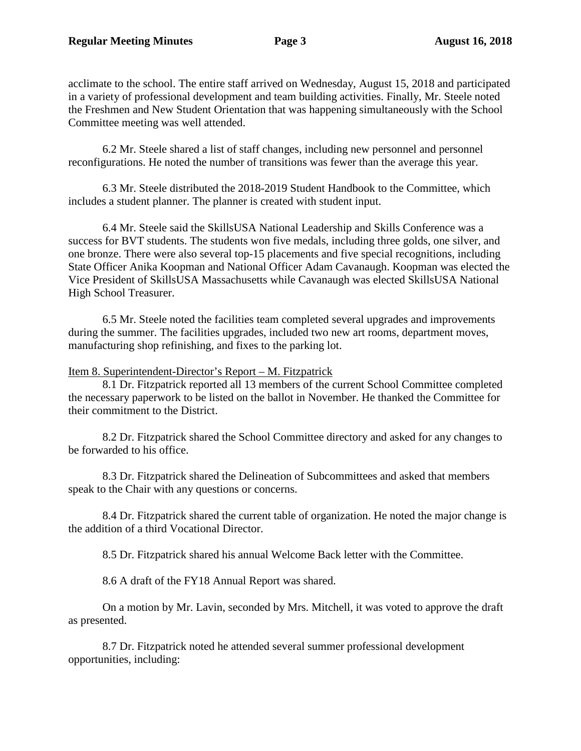acclimate to the school. The entire staff arrived on Wednesday, August 15, 2018 and participated in a variety of professional development and team building activities. Finally, Mr. Steele noted the Freshmen and New Student Orientation that was happening simultaneously with the School Committee meeting was well attended.

6.2 Mr. Steele shared a list of staff changes, including new personnel and personnel reconfigurations. He noted the number of transitions was fewer than the average this year.

6.3 Mr. Steele distributed the 2018-2019 Student Handbook to the Committee, which includes a student planner. The planner is created with student input.

6.4 Mr. Steele said the SkillsUSA National Leadership and Skills Conference was a success for BVT students. The students won five medals, including three golds, one silver, and one bronze. There were also several top-15 placements and five special recognitions, including State Officer Anika Koopman and National Officer Adam Cavanaugh. Koopman was elected the Vice President of SkillsUSA Massachusetts while Cavanaugh was elected SkillsUSA National High School Treasurer.

6.5 Mr. Steele noted the facilities team completed several upgrades and improvements during the summer. The facilities upgrades, included two new art rooms, department moves, manufacturing shop refinishing, and fixes to the parking lot.

Item 8. Superintendent-Director's Report – M. Fitzpatrick

8.1 Dr. Fitzpatrick reported all 13 members of the current School Committee completed the necessary paperwork to be listed on the ballot in November. He thanked the Committee for their commitment to the District.

8.2 Dr. Fitzpatrick shared the School Committee directory and asked for any changes to be forwarded to his office.

8.3 Dr. Fitzpatrick shared the Delineation of Subcommittees and asked that members speak to the Chair with any questions or concerns.

8.4 Dr. Fitzpatrick shared the current table of organization. He noted the major change is the addition of a third Vocational Director.

8.5 Dr. Fitzpatrick shared his annual Welcome Back letter with the Committee.

8.6 A draft of the FY18 Annual Report was shared.

On a motion by Mr. Lavin, seconded by Mrs. Mitchell, it was voted to approve the draft as presented.

8.7 Dr. Fitzpatrick noted he attended several summer professional development opportunities, including: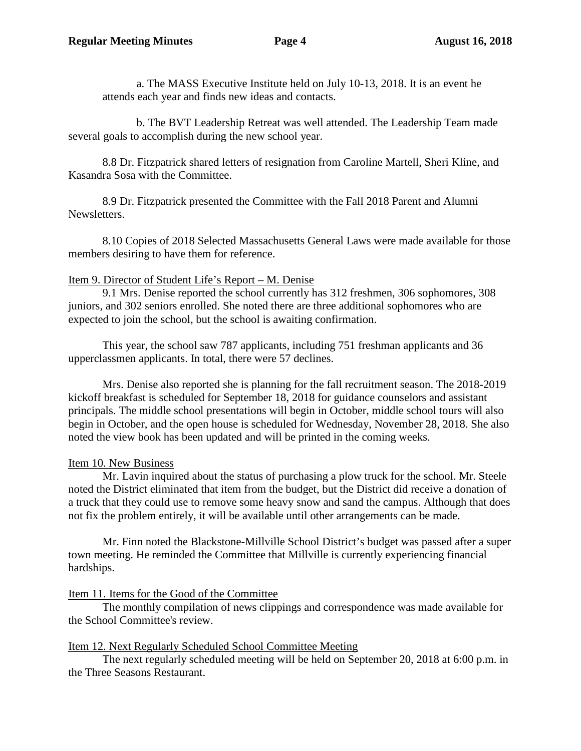a. The MASS Executive Institute held on July 10-13, 2018. It is an event he attends each year and finds new ideas and contacts.

b. The BVT Leadership Retreat was well attended. The Leadership Team made several goals to accomplish during the new school year.

8.8 Dr. Fitzpatrick shared letters of resignation from Caroline Martell, Sheri Kline, and Kasandra Sosa with the Committee.

8.9 Dr. Fitzpatrick presented the Committee with the Fall 2018 Parent and Alumni Newsletters.

8.10 Copies of 2018 Selected Massachusetts General Laws were made available for those members desiring to have them for reference.

# Item 9. Director of Student Life's Report – M. Denise

9.1 Mrs. Denise reported the school currently has 312 freshmen, 306 sophomores, 308 juniors, and 302 seniors enrolled. She noted there are three additional sophomores who are expected to join the school, but the school is awaiting confirmation.

This year, the school saw 787 applicants, including 751 freshman applicants and 36 upperclassmen applicants. In total, there were 57 declines.

Mrs. Denise also reported she is planning for the fall recruitment season. The 2018-2019 kickoff breakfast is scheduled for September 18, 2018 for guidance counselors and assistant principals. The middle school presentations will begin in October, middle school tours will also begin in October, and the open house is scheduled for Wednesday, November 28, 2018. She also noted the view book has been updated and will be printed in the coming weeks.

# Item 10. New Business

Mr. Lavin inquired about the status of purchasing a plow truck for the school. Mr. Steele noted the District eliminated that item from the budget, but the District did receive a donation of a truck that they could use to remove some heavy snow and sand the campus. Although that does not fix the problem entirely, it will be available until other arrangements can be made.

Mr. Finn noted the Blackstone-Millville School District's budget was passed after a super town meeting. He reminded the Committee that Millville is currently experiencing financial hardships.

# Item 11. Items for the Good of the Committee

The monthly compilation of news clippings and correspondence was made available for the School Committee's review.

# Item 12. Next Regularly Scheduled School Committee Meeting

The next regularly scheduled meeting will be held on September 20, 2018 at 6:00 p.m. in the Three Seasons Restaurant.